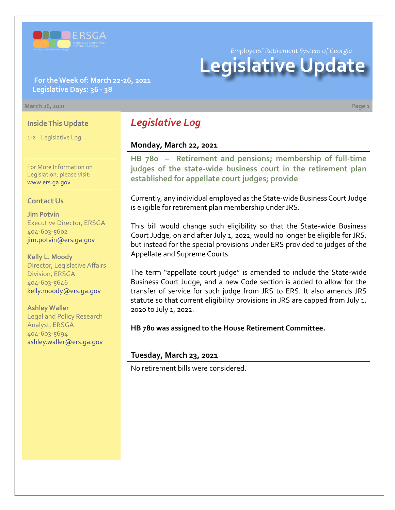

**For the Week of: March 22-26, 2021 Legislative Days: 36 - 38**

#### **March 26, 2021 Page 1**

### **Inside This Update**

1-2 Legislative Log

For More Information on Legislation, please visit: [www.ers.ga.gov](http://www.ers.ga.gov/default.aspx)

### **Contact Us**

**Jim Potvin** Executive Director, ERSGA 404-603-5602 jim.potvin@ers.ga.gov

**Kelly L. Moody** Director, Legislative Affairs Division, ERSGA 404-603-5646 kelly.moody@ers.ga.gov

**Ashley Waller** Legal and Policy Research Analyst, ERSGA 404-603-5694 ashley.waller@ers.ga.gov

*Legislative Log*

## **Monday, March 22, 2021**

**HB 780 – Retirement and pensions; membership of full-time [judges of the state-wide business court in the retirement plan](https://www.legis.ga.gov/legislation/60559)  established for appellate court judges; provide**

Currently, any individual employed as the State-wide Business Court Judge is eligible for retirement plan membership under JRS.

This bill would change such eligibility so that the State-wide Business Court Judge, on and after July 1, 2022, would no longer be eligible for JRS, but instead for the special provisions under ERS provided to judges of the Appellate and Supreme Courts.

The term "appellate court judge" is amended to include the State-wide Business Court Judge, and a new Code section is added to allow for the transfer of service for such judge from JRS to ERS. It also amends JRS statute so that current eligibility provisions in JRS are capped from July 1, 2020 to July 1, 2022.

**HB 780 was assigned to the House Retirement Committee.**

### **Tuesday, March 23, 2021**

No retirement bills were considered.

*Employees' Retirement System of Georgia*

# **Legislative Update**